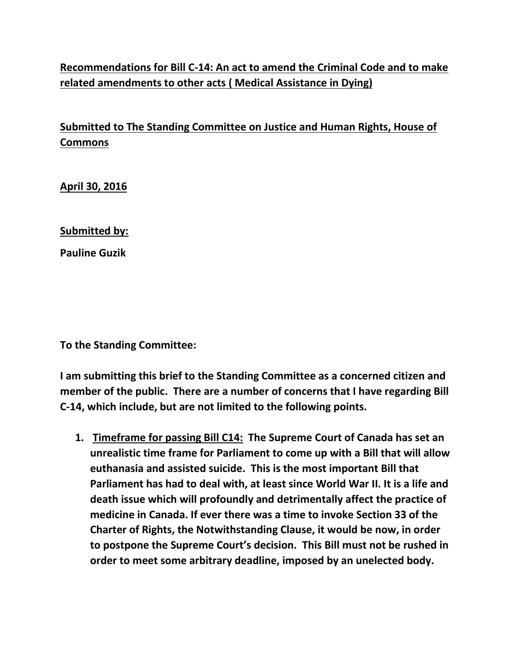## **Recommendations for Bill C-14: An act to amend the Criminal Code and to make related amendments to other acts ( Medical Assistance in Dying)**

## **Submitted to The Standing Committee on Justice and Human Rights, House of Commons**

**April 30, 2016** 

**Submitted by:** 

**Pauline Guzik** 

**To the Standing Committee:** 

**I am submitting this brief to the Standing Committee as a concerned citizen and member of the public. There are a number of concerns that I have regarding Bill C-14, which include, but are not limited to the following points.** 

**1. Timeframe for passing Bill C14: The Supreme Court of Canada has set an unrealistic time frame for Parliament to come up with a Bill that will allow euthanasia and assisted suicide. This is the most important Bill that Parliament has had to deal with, at least since World War II. It is a life and death issue which will profoundly and detrimentally affect the practice of medicine in Canada. If ever there was a time to invoke Section 33 of the Charter of Rights, the Notwithstanding Clause, it would be now, in order to postpone the Supreme Court's decision. This Bill must not be rushed in order to meet some arbitrary deadline, imposed by an unelected body.**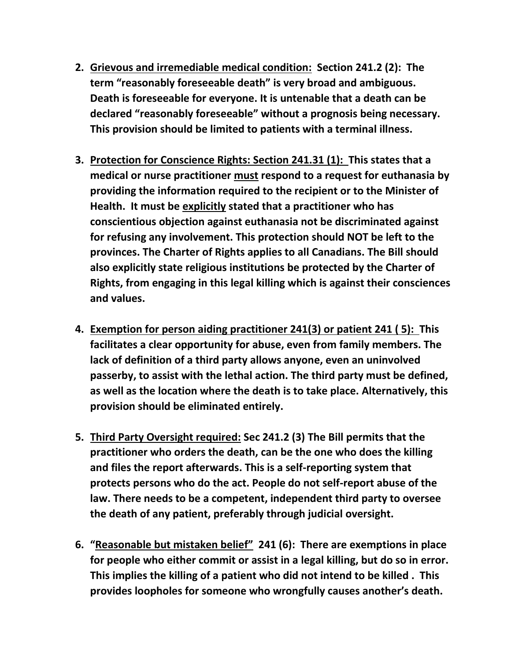- **2. Grievous and irremediable medical condition: Section 241.2 (2): The term "reasonably foreseeable death" is very broad and ambiguous. Death is foreseeable for everyone. It is untenable that a death can be declared "reasonably foreseeable" without a prognosis being necessary. This provision should be limited to patients with a terminal illness.**
- **3. Protection for Conscience Rights: Section 241.31 (1): This states that a medical or nurse practitioner must respond to a request for euthanasia by providing the information required to the recipient or to the Minister of Health. It must be explicitly stated that a practitioner who has conscientious objection against euthanasia not be discriminated against for refusing any involvement. This protection should NOT be left to the provinces. The Charter of Rights applies to all Canadians. The Bill should also explicitly state religious institutions be protected by the Charter of Rights, from engaging in this legal killing which is against their consciences and values.**
- **4. Exemption for person aiding practitioner 241(3) or patient 241 ( 5): This facilitates a clear opportunity for abuse, even from family members. The lack of definition of a third party allows anyone, even an uninvolved passerby, to assist with the lethal action. The third party must be defined, as well as the location where the death is to take place. Alternatively, this provision should be eliminated entirely.**
- **5. Third Party Oversight required: Sec 241.2 (3) The Bill permits that the practitioner who orders the death, can be the one who does the killing and files the report afterwards. This is a self-reporting system that protects persons who do the act. People do not self-report abuse of the law. There needs to be a competent, independent third party to oversee the death of any patient, preferably through judicial oversight.**
- **6. "Reasonable but mistaken belief" 241 (6): There are exemptions in place for people who either commit or assist in a legal killing, but do so in error. This implies the killing of a patient who did not intend to be killed . This provides loopholes for someone who wrongfully causes another's death.**